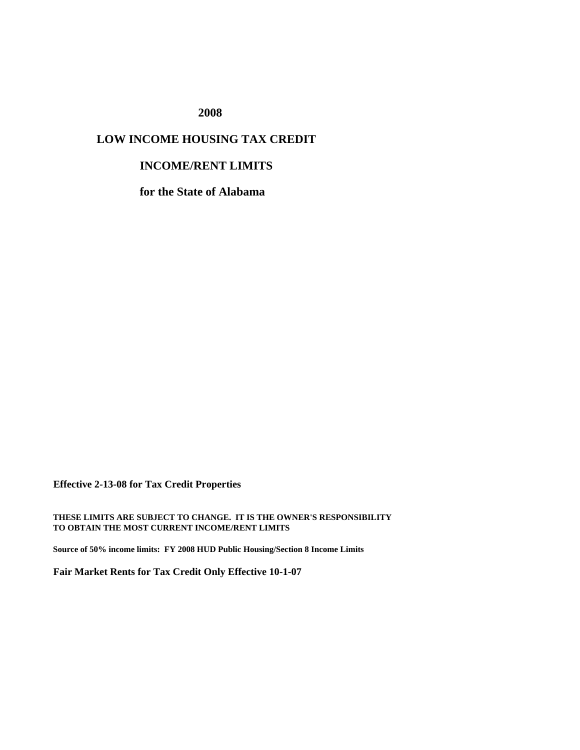**2008**

## **LOW INCOME HOUSING TAX CREDIT**

## **INCOME/RENT LIMITS**

**for the State of Alabama**

**Effective 2-13-08 for Tax Credit Properties**

**THESE LIMITS ARE SUBJECT TO CHANGE. IT IS THE OWNER'S RESPONSIBILITY TO OBTAIN THE MOST CURRENT INCOME/RENT LIMITS**

**Source of 50% income limits: FY 2008 HUD Public Housing/Section 8 Income Limits**

**Fair Market Rents for Tax Credit Only Effective 10-1-07**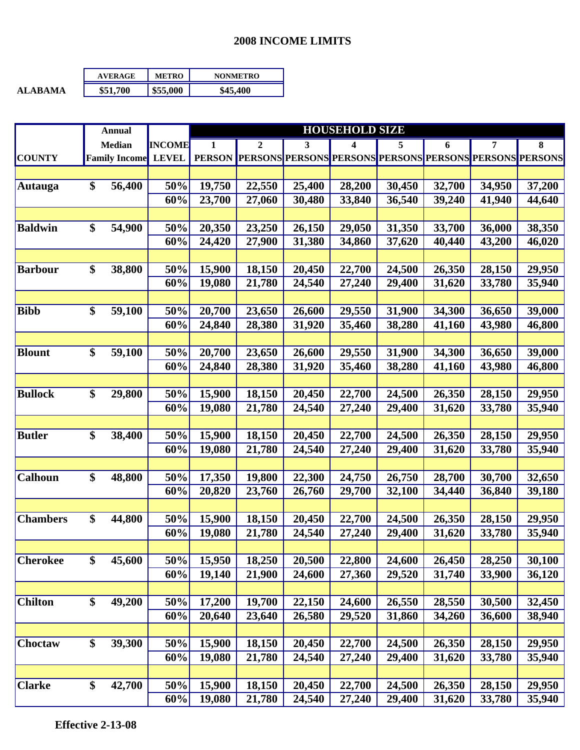## **2008 INCOME LIMITS**

|                | <b>AVERAGE</b> | <b>METRO</b> | <b>NONMETRO</b> |
|----------------|----------------|--------------|-----------------|
| <b>ALARAMA</b> | \$51.700       | \$55,000     | \$45,400        |

| <b>INCOME</b><br>$\boldsymbol{2}$<br><b>Median</b><br>1<br>3<br>4<br>5<br>7<br>8<br>6<br><b>LEVEL</b><br><b>Family Income</b><br><b>PERSON</b><br><b>PERSONS</b><br><b>PERSONS PERSONS</b><br><b>PERSONS PERSONS</b><br><b>PERSONS PERSONS</b><br>\$<br>56,400<br>50%<br>19,750<br>22,550<br>25,400<br>28,200<br>30,450<br>32,700<br>34,950<br>37,200<br>23,700<br>36,540<br>60%<br>30,480<br>33,840<br>39,240<br>41,940<br>44,640<br>27,060<br>\$<br>54,900<br>38,350<br>50%<br>20,350<br>26,150<br>29,050<br>31,350<br>33,700<br>36,000<br>23,250<br>60%<br>24,420<br>27,900<br>31,380<br>34,860<br>37,620<br>40,440<br>43,200<br>46,020<br>\$<br>38,800<br>50%<br>15,900<br>18,150<br>20,450<br>22,700<br>24,500<br>26,350<br>28,150<br>29,950<br>60%<br>19,080<br>21,780<br>24,540<br>27,240<br>29,400<br>31,620<br>33,780<br>35,940<br><b>Bibb</b><br>\$<br>59,100<br>50%<br>20,700<br>26,600<br>29,550<br>34,300<br>39,000<br>23,650<br>31,900<br>36,650<br>24,840<br>60%<br>28,380<br>31,920<br>35,460<br>38,280<br>41,160<br>43,980<br>46,800<br>\$<br><b>Blount</b><br>59,100<br>50%<br>20,700<br>23,650<br>26,600<br>29,550<br>31,900<br>34,300<br>39,000<br>36,650<br>60%<br>24,840<br>28,380<br>31,920<br>35,460<br>38,280<br>41,160<br>43,980<br>46,800<br><b>Bullock</b><br>\$<br>29,800<br>50%<br>15,900<br>18,150<br>20,450<br>22,700<br>24,500<br>26,350<br>28,150<br>29,950<br>60%<br>19,080<br>21,780<br>24,540<br>27,240<br>29,400<br>31,620<br>33,780<br>35,940<br><b>Butler</b><br>\$<br>38,400<br>50%<br>15,900<br>18,150<br>20,450<br>22,700<br>24,500<br>26,350<br>28,150<br>29,950<br>19,080<br>60%<br>21,780<br>24,540<br>27,240<br>29,400<br>31,620<br>33,780<br>35,940<br>\$<br><b>Calhoun</b><br>48,800<br>50%<br>17,350<br>22,300<br>26,750<br>28,700<br>19,800<br>24,750<br>30,700<br>32,650<br>60%<br>20,820<br>23,760<br>26,760<br>29,700<br>32,100<br>34,440<br>36,840<br>39,180<br>\$<br>50%<br><b>Chambers</b><br>44,800<br>15,900<br>18,150<br>22,700<br>24,500<br>26,350<br>29,950<br>20,450<br>28,150<br>60%<br>19,080<br>21,780<br>24,540<br>27,240<br>29,400<br>31,620<br>33,780<br>35,940<br>\$<br>45,600<br><b>Cherokee</b><br>50%<br>15,950<br>18,250<br>20,500<br>22,800<br>24,600<br>26,450<br>28,250<br>30,100<br>19,140<br>21,900<br>24,600<br>27,360<br>31,740<br>33,900<br>36,120<br>60%<br>29,520<br><b>Chilton</b><br>\$<br>49,200<br>50%<br>17,200<br>19,700<br>22,150<br>24,600<br>26,550<br>28,550<br>30,500<br>32,450<br>60%<br>20,640<br>23,640<br>26,580<br>29,520<br>31,860<br>34,260<br>36,600<br>38,940<br>\$<br>39,300<br>Choctaw<br>50%<br>15,900<br>18,150<br>20,450<br>26,350<br>29,950<br>22,700<br>24,500<br>28,150<br>60%<br>19,080<br>21,780<br>24,540<br>29,400<br>31,620<br>35,940<br>27,240<br>33,780<br>\$<br><b>Clarke</b><br>42,700<br>50%<br>15,900<br>18,150<br>20,450<br>22,700<br>24,500<br>26,350<br>28,150<br>29,950 |                | <b>Annual</b> |     | <b>HOUSEHOLD SIZE</b> |        |        |        |        |        |        |        |
|--------------------------------------------------------------------------------------------------------------------------------------------------------------------------------------------------------------------------------------------------------------------------------------------------------------------------------------------------------------------------------------------------------------------------------------------------------------------------------------------------------------------------------------------------------------------------------------------------------------------------------------------------------------------------------------------------------------------------------------------------------------------------------------------------------------------------------------------------------------------------------------------------------------------------------------------------------------------------------------------------------------------------------------------------------------------------------------------------------------------------------------------------------------------------------------------------------------------------------------------------------------------------------------------------------------------------------------------------------------------------------------------------------------------------------------------------------------------------------------------------------------------------------------------------------------------------------------------------------------------------------------------------------------------------------------------------------------------------------------------------------------------------------------------------------------------------------------------------------------------------------------------------------------------------------------------------------------------------------------------------------------------------------------------------------------------------------------------------------------------------------------------------------------------------------------------------------------------------------------------------------------------------------------------------------------------------------------------------------------------------------------------------------------------------------------------------------------------------------------------------------------------------------------------------------------------------------------------------------------------------------------------------------------------------------------------------------------------------------------------------------------------------------------------------------------------------------------------------------------------------------------------------------|----------------|---------------|-----|-----------------------|--------|--------|--------|--------|--------|--------|--------|
|                                                                                                                                                                                                                                                                                                                                                                                                                                                                                                                                                                                                                                                                                                                                                                                                                                                                                                                                                                                                                                                                                                                                                                                                                                                                                                                                                                                                                                                                                                                                                                                                                                                                                                                                                                                                                                                                                                                                                                                                                                                                                                                                                                                                                                                                                                                                                                                                                                                                                                                                                                                                                                                                                                                                                                                                                                                                                                        |                |               |     |                       |        |        |        |        |        |        |        |
|                                                                                                                                                                                                                                                                                                                                                                                                                                                                                                                                                                                                                                                                                                                                                                                                                                                                                                                                                                                                                                                                                                                                                                                                                                                                                                                                                                                                                                                                                                                                                                                                                                                                                                                                                                                                                                                                                                                                                                                                                                                                                                                                                                                                                                                                                                                                                                                                                                                                                                                                                                                                                                                                                                                                                                                                                                                                                                        | <b>COUNTY</b>  |               |     |                       |        |        |        |        |        |        |        |
|                                                                                                                                                                                                                                                                                                                                                                                                                                                                                                                                                                                                                                                                                                                                                                                                                                                                                                                                                                                                                                                                                                                                                                                                                                                                                                                                                                                                                                                                                                                                                                                                                                                                                                                                                                                                                                                                                                                                                                                                                                                                                                                                                                                                                                                                                                                                                                                                                                                                                                                                                                                                                                                                                                                                                                                                                                                                                                        |                |               |     |                       |        |        |        |        |        |        |        |
|                                                                                                                                                                                                                                                                                                                                                                                                                                                                                                                                                                                                                                                                                                                                                                                                                                                                                                                                                                                                                                                                                                                                                                                                                                                                                                                                                                                                                                                                                                                                                                                                                                                                                                                                                                                                                                                                                                                                                                                                                                                                                                                                                                                                                                                                                                                                                                                                                                                                                                                                                                                                                                                                                                                                                                                                                                                                                                        | <b>Autauga</b> |               |     |                       |        |        |        |        |        |        |        |
|                                                                                                                                                                                                                                                                                                                                                                                                                                                                                                                                                                                                                                                                                                                                                                                                                                                                                                                                                                                                                                                                                                                                                                                                                                                                                                                                                                                                                                                                                                                                                                                                                                                                                                                                                                                                                                                                                                                                                                                                                                                                                                                                                                                                                                                                                                                                                                                                                                                                                                                                                                                                                                                                                                                                                                                                                                                                                                        |                |               |     |                       |        |        |        |        |        |        |        |
|                                                                                                                                                                                                                                                                                                                                                                                                                                                                                                                                                                                                                                                                                                                                                                                                                                                                                                                                                                                                                                                                                                                                                                                                                                                                                                                                                                                                                                                                                                                                                                                                                                                                                                                                                                                                                                                                                                                                                                                                                                                                                                                                                                                                                                                                                                                                                                                                                                                                                                                                                                                                                                                                                                                                                                                                                                                                                                        |                |               |     |                       |        |        |        |        |        |        |        |
|                                                                                                                                                                                                                                                                                                                                                                                                                                                                                                                                                                                                                                                                                                                                                                                                                                                                                                                                                                                                                                                                                                                                                                                                                                                                                                                                                                                                                                                                                                                                                                                                                                                                                                                                                                                                                                                                                                                                                                                                                                                                                                                                                                                                                                                                                                                                                                                                                                                                                                                                                                                                                                                                                                                                                                                                                                                                                                        | <b>Baldwin</b> |               |     |                       |        |        |        |        |        |        |        |
|                                                                                                                                                                                                                                                                                                                                                                                                                                                                                                                                                                                                                                                                                                                                                                                                                                                                                                                                                                                                                                                                                                                                                                                                                                                                                                                                                                                                                                                                                                                                                                                                                                                                                                                                                                                                                                                                                                                                                                                                                                                                                                                                                                                                                                                                                                                                                                                                                                                                                                                                                                                                                                                                                                                                                                                                                                                                                                        |                |               |     |                       |        |        |        |        |        |        |        |
|                                                                                                                                                                                                                                                                                                                                                                                                                                                                                                                                                                                                                                                                                                                                                                                                                                                                                                                                                                                                                                                                                                                                                                                                                                                                                                                                                                                                                                                                                                                                                                                                                                                                                                                                                                                                                                                                                                                                                                                                                                                                                                                                                                                                                                                                                                                                                                                                                                                                                                                                                                                                                                                                                                                                                                                                                                                                                                        |                |               |     |                       |        |        |        |        |        |        |        |
|                                                                                                                                                                                                                                                                                                                                                                                                                                                                                                                                                                                                                                                                                                                                                                                                                                                                                                                                                                                                                                                                                                                                                                                                                                                                                                                                                                                                                                                                                                                                                                                                                                                                                                                                                                                                                                                                                                                                                                                                                                                                                                                                                                                                                                                                                                                                                                                                                                                                                                                                                                                                                                                                                                                                                                                                                                                                                                        | <b>Barbour</b> |               |     |                       |        |        |        |        |        |        |        |
|                                                                                                                                                                                                                                                                                                                                                                                                                                                                                                                                                                                                                                                                                                                                                                                                                                                                                                                                                                                                                                                                                                                                                                                                                                                                                                                                                                                                                                                                                                                                                                                                                                                                                                                                                                                                                                                                                                                                                                                                                                                                                                                                                                                                                                                                                                                                                                                                                                                                                                                                                                                                                                                                                                                                                                                                                                                                                                        |                |               |     |                       |        |        |        |        |        |        |        |
|                                                                                                                                                                                                                                                                                                                                                                                                                                                                                                                                                                                                                                                                                                                                                                                                                                                                                                                                                                                                                                                                                                                                                                                                                                                                                                                                                                                                                                                                                                                                                                                                                                                                                                                                                                                                                                                                                                                                                                                                                                                                                                                                                                                                                                                                                                                                                                                                                                                                                                                                                                                                                                                                                                                                                                                                                                                                                                        |                |               |     |                       |        |        |        |        |        |        |        |
|                                                                                                                                                                                                                                                                                                                                                                                                                                                                                                                                                                                                                                                                                                                                                                                                                                                                                                                                                                                                                                                                                                                                                                                                                                                                                                                                                                                                                                                                                                                                                                                                                                                                                                                                                                                                                                                                                                                                                                                                                                                                                                                                                                                                                                                                                                                                                                                                                                                                                                                                                                                                                                                                                                                                                                                                                                                                                                        |                |               |     |                       |        |        |        |        |        |        |        |
|                                                                                                                                                                                                                                                                                                                                                                                                                                                                                                                                                                                                                                                                                                                                                                                                                                                                                                                                                                                                                                                                                                                                                                                                                                                                                                                                                                                                                                                                                                                                                                                                                                                                                                                                                                                                                                                                                                                                                                                                                                                                                                                                                                                                                                                                                                                                                                                                                                                                                                                                                                                                                                                                                                                                                                                                                                                                                                        |                |               |     |                       |        |        |        |        |        |        |        |
|                                                                                                                                                                                                                                                                                                                                                                                                                                                                                                                                                                                                                                                                                                                                                                                                                                                                                                                                                                                                                                                                                                                                                                                                                                                                                                                                                                                                                                                                                                                                                                                                                                                                                                                                                                                                                                                                                                                                                                                                                                                                                                                                                                                                                                                                                                                                                                                                                                                                                                                                                                                                                                                                                                                                                                                                                                                                                                        |                |               |     |                       |        |        |        |        |        |        |        |
|                                                                                                                                                                                                                                                                                                                                                                                                                                                                                                                                                                                                                                                                                                                                                                                                                                                                                                                                                                                                                                                                                                                                                                                                                                                                                                                                                                                                                                                                                                                                                                                                                                                                                                                                                                                                                                                                                                                                                                                                                                                                                                                                                                                                                                                                                                                                                                                                                                                                                                                                                                                                                                                                                                                                                                                                                                                                                                        |                |               |     |                       |        |        |        |        |        |        |        |
|                                                                                                                                                                                                                                                                                                                                                                                                                                                                                                                                                                                                                                                                                                                                                                                                                                                                                                                                                                                                                                                                                                                                                                                                                                                                                                                                                                                                                                                                                                                                                                                                                                                                                                                                                                                                                                                                                                                                                                                                                                                                                                                                                                                                                                                                                                                                                                                                                                                                                                                                                                                                                                                                                                                                                                                                                                                                                                        |                |               |     |                       |        |        |        |        |        |        |        |
|                                                                                                                                                                                                                                                                                                                                                                                                                                                                                                                                                                                                                                                                                                                                                                                                                                                                                                                                                                                                                                                                                                                                                                                                                                                                                                                                                                                                                                                                                                                                                                                                                                                                                                                                                                                                                                                                                                                                                                                                                                                                                                                                                                                                                                                                                                                                                                                                                                                                                                                                                                                                                                                                                                                                                                                                                                                                                                        |                |               |     |                       |        |        |        |        |        |        |        |
|                                                                                                                                                                                                                                                                                                                                                                                                                                                                                                                                                                                                                                                                                                                                                                                                                                                                                                                                                                                                                                                                                                                                                                                                                                                                                                                                                                                                                                                                                                                                                                                                                                                                                                                                                                                                                                                                                                                                                                                                                                                                                                                                                                                                                                                                                                                                                                                                                                                                                                                                                                                                                                                                                                                                                                                                                                                                                                        |                |               |     |                       |        |        |        |        |        |        |        |
|                                                                                                                                                                                                                                                                                                                                                                                                                                                                                                                                                                                                                                                                                                                                                                                                                                                                                                                                                                                                                                                                                                                                                                                                                                                                                                                                                                                                                                                                                                                                                                                                                                                                                                                                                                                                                                                                                                                                                                                                                                                                                                                                                                                                                                                                                                                                                                                                                                                                                                                                                                                                                                                                                                                                                                                                                                                                                                        |                |               |     |                       |        |        |        |        |        |        |        |
|                                                                                                                                                                                                                                                                                                                                                                                                                                                                                                                                                                                                                                                                                                                                                                                                                                                                                                                                                                                                                                                                                                                                                                                                                                                                                                                                                                                                                                                                                                                                                                                                                                                                                                                                                                                                                                                                                                                                                                                                                                                                                                                                                                                                                                                                                                                                                                                                                                                                                                                                                                                                                                                                                                                                                                                                                                                                                                        |                |               |     |                       |        |        |        |        |        |        |        |
|                                                                                                                                                                                                                                                                                                                                                                                                                                                                                                                                                                                                                                                                                                                                                                                                                                                                                                                                                                                                                                                                                                                                                                                                                                                                                                                                                                                                                                                                                                                                                                                                                                                                                                                                                                                                                                                                                                                                                                                                                                                                                                                                                                                                                                                                                                                                                                                                                                                                                                                                                                                                                                                                                                                                                                                                                                                                                                        |                |               |     |                       |        |        |        |        |        |        |        |
|                                                                                                                                                                                                                                                                                                                                                                                                                                                                                                                                                                                                                                                                                                                                                                                                                                                                                                                                                                                                                                                                                                                                                                                                                                                                                                                                                                                                                                                                                                                                                                                                                                                                                                                                                                                                                                                                                                                                                                                                                                                                                                                                                                                                                                                                                                                                                                                                                                                                                                                                                                                                                                                                                                                                                                                                                                                                                                        |                |               |     |                       |        |        |        |        |        |        |        |
|                                                                                                                                                                                                                                                                                                                                                                                                                                                                                                                                                                                                                                                                                                                                                                                                                                                                                                                                                                                                                                                                                                                                                                                                                                                                                                                                                                                                                                                                                                                                                                                                                                                                                                                                                                                                                                                                                                                                                                                                                                                                                                                                                                                                                                                                                                                                                                                                                                                                                                                                                                                                                                                                                                                                                                                                                                                                                                        |                |               |     |                       |        |        |        |        |        |        |        |
|                                                                                                                                                                                                                                                                                                                                                                                                                                                                                                                                                                                                                                                                                                                                                                                                                                                                                                                                                                                                                                                                                                                                                                                                                                                                                                                                                                                                                                                                                                                                                                                                                                                                                                                                                                                                                                                                                                                                                                                                                                                                                                                                                                                                                                                                                                                                                                                                                                                                                                                                                                                                                                                                                                                                                                                                                                                                                                        |                |               |     |                       |        |        |        |        |        |        |        |
|                                                                                                                                                                                                                                                                                                                                                                                                                                                                                                                                                                                                                                                                                                                                                                                                                                                                                                                                                                                                                                                                                                                                                                                                                                                                                                                                                                                                                                                                                                                                                                                                                                                                                                                                                                                                                                                                                                                                                                                                                                                                                                                                                                                                                                                                                                                                                                                                                                                                                                                                                                                                                                                                                                                                                                                                                                                                                                        |                |               |     |                       |        |        |        |        |        |        |        |
|                                                                                                                                                                                                                                                                                                                                                                                                                                                                                                                                                                                                                                                                                                                                                                                                                                                                                                                                                                                                                                                                                                                                                                                                                                                                                                                                                                                                                                                                                                                                                                                                                                                                                                                                                                                                                                                                                                                                                                                                                                                                                                                                                                                                                                                                                                                                                                                                                                                                                                                                                                                                                                                                                                                                                                                                                                                                                                        |                |               |     |                       |        |        |        |        |        |        |        |
|                                                                                                                                                                                                                                                                                                                                                                                                                                                                                                                                                                                                                                                                                                                                                                                                                                                                                                                                                                                                                                                                                                                                                                                                                                                                                                                                                                                                                                                                                                                                                                                                                                                                                                                                                                                                                                                                                                                                                                                                                                                                                                                                                                                                                                                                                                                                                                                                                                                                                                                                                                                                                                                                                                                                                                                                                                                                                                        |                |               |     |                       |        |        |        |        |        |        |        |
|                                                                                                                                                                                                                                                                                                                                                                                                                                                                                                                                                                                                                                                                                                                                                                                                                                                                                                                                                                                                                                                                                                                                                                                                                                                                                                                                                                                                                                                                                                                                                                                                                                                                                                                                                                                                                                                                                                                                                                                                                                                                                                                                                                                                                                                                                                                                                                                                                                                                                                                                                                                                                                                                                                                                                                                                                                                                                                        |                |               |     |                       |        |        |        |        |        |        |        |
|                                                                                                                                                                                                                                                                                                                                                                                                                                                                                                                                                                                                                                                                                                                                                                                                                                                                                                                                                                                                                                                                                                                                                                                                                                                                                                                                                                                                                                                                                                                                                                                                                                                                                                                                                                                                                                                                                                                                                                                                                                                                                                                                                                                                                                                                                                                                                                                                                                                                                                                                                                                                                                                                                                                                                                                                                                                                                                        |                |               |     |                       |        |        |        |        |        |        |        |
|                                                                                                                                                                                                                                                                                                                                                                                                                                                                                                                                                                                                                                                                                                                                                                                                                                                                                                                                                                                                                                                                                                                                                                                                                                                                                                                                                                                                                                                                                                                                                                                                                                                                                                                                                                                                                                                                                                                                                                                                                                                                                                                                                                                                                                                                                                                                                                                                                                                                                                                                                                                                                                                                                                                                                                                                                                                                                                        |                |               |     |                       |        |        |        |        |        |        |        |
|                                                                                                                                                                                                                                                                                                                                                                                                                                                                                                                                                                                                                                                                                                                                                                                                                                                                                                                                                                                                                                                                                                                                                                                                                                                                                                                                                                                                                                                                                                                                                                                                                                                                                                                                                                                                                                                                                                                                                                                                                                                                                                                                                                                                                                                                                                                                                                                                                                                                                                                                                                                                                                                                                                                                                                                                                                                                                                        |                |               |     |                       |        |        |        |        |        |        |        |
|                                                                                                                                                                                                                                                                                                                                                                                                                                                                                                                                                                                                                                                                                                                                                                                                                                                                                                                                                                                                                                                                                                                                                                                                                                                                                                                                                                                                                                                                                                                                                                                                                                                                                                                                                                                                                                                                                                                                                                                                                                                                                                                                                                                                                                                                                                                                                                                                                                                                                                                                                                                                                                                                                                                                                                                                                                                                                                        |                |               |     |                       |        |        |        |        |        |        |        |
|                                                                                                                                                                                                                                                                                                                                                                                                                                                                                                                                                                                                                                                                                                                                                                                                                                                                                                                                                                                                                                                                                                                                                                                                                                                                                                                                                                                                                                                                                                                                                                                                                                                                                                                                                                                                                                                                                                                                                                                                                                                                                                                                                                                                                                                                                                                                                                                                                                                                                                                                                                                                                                                                                                                                                                                                                                                                                                        |                |               |     |                       |        |        |        |        |        |        |        |
|                                                                                                                                                                                                                                                                                                                                                                                                                                                                                                                                                                                                                                                                                                                                                                                                                                                                                                                                                                                                                                                                                                                                                                                                                                                                                                                                                                                                                                                                                                                                                                                                                                                                                                                                                                                                                                                                                                                                                                                                                                                                                                                                                                                                                                                                                                                                                                                                                                                                                                                                                                                                                                                                                                                                                                                                                                                                                                        |                |               |     |                       |        |        |        |        |        |        |        |
|                                                                                                                                                                                                                                                                                                                                                                                                                                                                                                                                                                                                                                                                                                                                                                                                                                                                                                                                                                                                                                                                                                                                                                                                                                                                                                                                                                                                                                                                                                                                                                                                                                                                                                                                                                                                                                                                                                                                                                                                                                                                                                                                                                                                                                                                                                                                                                                                                                                                                                                                                                                                                                                                                                                                                                                                                                                                                                        |                |               |     |                       |        |        |        |        |        |        |        |
|                                                                                                                                                                                                                                                                                                                                                                                                                                                                                                                                                                                                                                                                                                                                                                                                                                                                                                                                                                                                                                                                                                                                                                                                                                                                                                                                                                                                                                                                                                                                                                                                                                                                                                                                                                                                                                                                                                                                                                                                                                                                                                                                                                                                                                                                                                                                                                                                                                                                                                                                                                                                                                                                                                                                                                                                                                                                                                        |                |               |     |                       |        |        |        |        |        |        |        |
|                                                                                                                                                                                                                                                                                                                                                                                                                                                                                                                                                                                                                                                                                                                                                                                                                                                                                                                                                                                                                                                                                                                                                                                                                                                                                                                                                                                                                                                                                                                                                                                                                                                                                                                                                                                                                                                                                                                                                                                                                                                                                                                                                                                                                                                                                                                                                                                                                                                                                                                                                                                                                                                                                                                                                                                                                                                                                                        |                |               |     |                       |        |        |        |        |        |        |        |
|                                                                                                                                                                                                                                                                                                                                                                                                                                                                                                                                                                                                                                                                                                                                                                                                                                                                                                                                                                                                                                                                                                                                                                                                                                                                                                                                                                                                                                                                                                                                                                                                                                                                                                                                                                                                                                                                                                                                                                                                                                                                                                                                                                                                                                                                                                                                                                                                                                                                                                                                                                                                                                                                                                                                                                                                                                                                                                        |                |               |     |                       |        |        |        |        |        |        |        |
|                                                                                                                                                                                                                                                                                                                                                                                                                                                                                                                                                                                                                                                                                                                                                                                                                                                                                                                                                                                                                                                                                                                                                                                                                                                                                                                                                                                                                                                                                                                                                                                                                                                                                                                                                                                                                                                                                                                                                                                                                                                                                                                                                                                                                                                                                                                                                                                                                                                                                                                                                                                                                                                                                                                                                                                                                                                                                                        |                |               | 60% | 19,080                | 21,780 | 24,540 | 27,240 | 29,400 | 31,620 | 33,780 | 35,940 |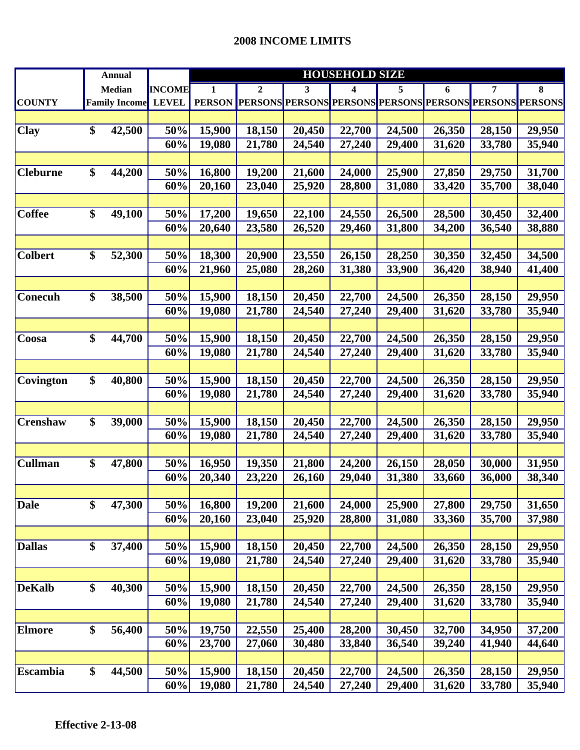|                 | <b>Annual</b>        |        |               | <b>HOUSEHOLD SIZE</b> |                                                                |        |        |        |        |        |        |  |
|-----------------|----------------------|--------|---------------|-----------------------|----------------------------------------------------------------|--------|--------|--------|--------|--------|--------|--|
|                 | <b>Median</b>        |        | <b>INCOME</b> | 1                     | $\boldsymbol{2}$                                               | 3      | 4      | 5      | 6      | 7      | 8      |  |
| <b>COUNTY</b>   | <b>Family Income</b> |        | <b>LEVEL</b>  |                       | PERSON PERSONS PERSONS PERSONS PERSONS PERSONS PERSONS PERSONS |        |        |        |        |        |        |  |
|                 |                      |        |               |                       |                                                                |        |        |        |        |        |        |  |
| <b>Clay</b>     | \$                   | 42,500 | 50%           | 15,900                | 18,150                                                         | 20,450 | 22,700 | 24,500 | 26,350 | 28,150 | 29,950 |  |
|                 |                      |        | 60%           | 19,080                | 21,780                                                         | 24,540 | 27,240 | 29,400 | 31,620 | 33,780 | 35,940 |  |
|                 |                      |        |               |                       |                                                                |        |        |        |        |        |        |  |
| <b>Cleburne</b> | \$                   | 44,200 | 50%           | 16,800                | 19,200                                                         | 21,600 | 24,000 | 25,900 | 27,850 | 29,750 | 31,700 |  |
|                 |                      |        | 60%           | 20,160                | 23,040                                                         | 25,920 | 28,800 | 31,080 | 33,420 | 35,700 | 38,040 |  |
|                 |                      |        |               |                       |                                                                |        |        |        |        |        |        |  |
| <b>Coffee</b>   | \$                   | 49,100 | 50%           | 17,200                | 19,650                                                         | 22,100 | 24,550 | 26,500 | 28,500 | 30,450 | 32,400 |  |
|                 |                      |        | 60%           | 20,640                | 23,580                                                         | 26,520 | 29,460 | 31,800 | 34,200 | 36,540 | 38,880 |  |
|                 |                      |        |               |                       |                                                                |        |        |        |        |        |        |  |
| <b>Colbert</b>  | \$                   | 52,300 | 50%           | 18,300                | 20,900                                                         | 23,550 | 26,150 | 28,250 | 30,350 | 32,450 | 34,500 |  |
|                 |                      |        | 60%           | 21,960                | 25,080                                                         | 28,260 | 31,380 | 33,900 | 36,420 | 38,940 | 41,400 |  |
|                 |                      |        |               |                       |                                                                |        |        |        |        |        |        |  |
| <b>Conecuh</b>  | \$                   | 38,500 | 50%           | 15,900                | 18,150                                                         | 20,450 | 22,700 | 24,500 | 26,350 | 28,150 | 29,950 |  |
|                 |                      |        | 60%           | 19,080                | 21,780                                                         | 24,540 | 27,240 | 29,400 | 31,620 | 33,780 | 35,940 |  |
|                 |                      |        |               |                       |                                                                |        |        |        |        |        |        |  |
| Coosa           | \$                   | 44,700 | 50%           | 15,900                | 18,150                                                         | 20,450 | 22,700 | 24,500 | 26,350 | 28,150 | 29,950 |  |
|                 |                      |        | 60%           | 19,080                | 21,780                                                         | 24,540 | 27,240 | 29,400 | 31,620 | 33,780 | 35,940 |  |
|                 |                      |        |               |                       |                                                                |        |        |        |        |        |        |  |
| Covington       | \$                   | 40,800 | 50%           | 15,900                | 18,150                                                         | 20,450 | 22,700 | 24,500 | 26,350 | 28,150 | 29,950 |  |
|                 |                      |        | 60%           | 19,080                | 21,780                                                         | 24,540 | 27,240 | 29,400 | 31,620 | 33,780 | 35,940 |  |
|                 |                      |        |               |                       |                                                                |        |        |        |        |        |        |  |
| <b>Crenshaw</b> | \$                   | 39,000 | 50%           | 15,900                | 18,150                                                         | 20,450 | 22,700 | 24,500 | 26,350 | 28,150 | 29,950 |  |
|                 |                      |        | 60%           | 19,080                | 21,780                                                         | 24,540 | 27,240 | 29,400 | 31,620 | 33,780 | 35,940 |  |
|                 |                      |        |               |                       |                                                                |        |        |        |        |        |        |  |
| <b>Cullman</b>  | \$                   | 47,800 | 50%           | 16,950                | 19,350                                                         | 21,800 | 24,200 | 26,150 | 28,050 | 30,000 | 31,950 |  |
|                 |                      |        | 60%           | 20,340                | 23,220                                                         | 26,160 | 29,040 | 31,380 | 33,660 | 36,000 | 38,340 |  |
|                 |                      |        |               |                       |                                                                |        |        |        |        |        |        |  |
| <b>Dale</b>     | \$                   | 47,300 | 50%           | 16,800                | 19,200                                                         | 21,600 | 24,000 | 25,900 | 27,800 | 29,750 | 31,650 |  |
|                 |                      |        | 60%           | 20,160                | 23,040                                                         | 25,920 | 28,800 | 31,080 | 33,360 | 35,700 | 37,980 |  |
|                 |                      |        |               |                       |                                                                |        |        |        |        |        |        |  |
| <b>Dallas</b>   | \$                   | 37,400 | 50%           | 15,900                | 18,150                                                         | 20,450 | 22,700 | 24,500 | 26,350 | 28,150 | 29,950 |  |
|                 |                      |        | 60%           | 19,080                | 21,780                                                         | 24,540 | 27,240 | 29,400 | 31,620 | 33,780 | 35,940 |  |
|                 |                      |        |               |                       |                                                                |        |        |        |        |        |        |  |
| <b>DeKalb</b>   | \$                   | 40,300 | 50%           | 15,900                | 18,150                                                         | 20,450 | 22,700 | 24,500 | 26,350 | 28,150 | 29,950 |  |
|                 |                      |        | 60%           | 19,080                | 21,780                                                         | 24,540 | 27,240 | 29,400 | 31,620 | 33,780 | 35,940 |  |
|                 |                      |        |               |                       |                                                                |        |        |        |        |        |        |  |
| Elmore          | \$                   | 56,400 | 50%           | 19,750                | 22,550                                                         | 25,400 | 28,200 | 30,450 | 32,700 | 34,950 | 37,200 |  |
|                 |                      |        | 60%           | 23,700                | 27,060                                                         | 30,480 | 33,840 | 36,540 | 39,240 | 41,940 | 44,640 |  |
|                 |                      |        |               |                       |                                                                |        |        |        |        |        |        |  |
| Escambia        | \$                   | 44,500 | 50%           | 15,900                | 18,150                                                         | 20,450 | 22,700 | 24,500 | 26,350 | 28,150 | 29,950 |  |
|                 |                      |        | 60%           | 19,080                | 21,780                                                         | 24,540 | 27,240 | 29,400 | 31,620 | 33,780 | 35,940 |  |
|                 |                      |        |               |                       |                                                                |        |        |        |        |        |        |  |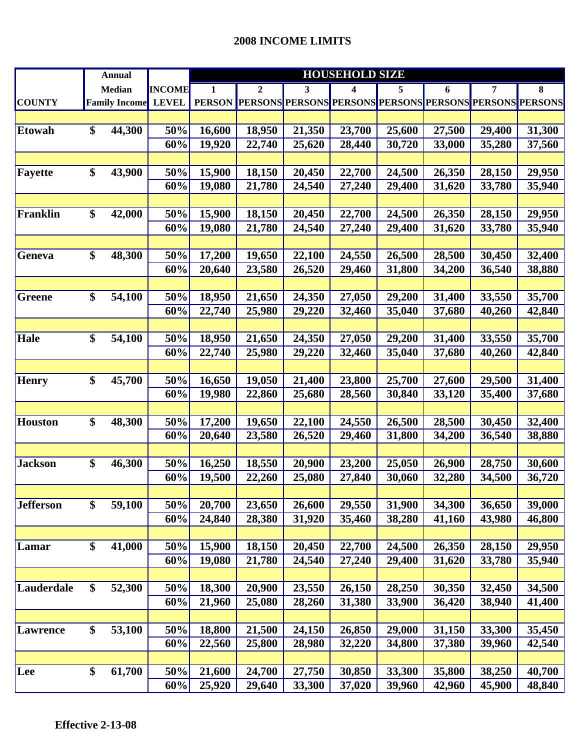|                  |                 | <b>Annual</b>        |               | <b>HOUSEHOLD SIZE</b> |              |        |                                                                |        |                     |        |        |  |
|------------------|-----------------|----------------------|---------------|-----------------------|--------------|--------|----------------------------------------------------------------|--------|---------------------|--------|--------|--|
|                  |                 | <b>Median</b>        | <b>INCOME</b> | 1                     | $\mathbf{2}$ | 3      | 4                                                              | 5      | 6                   | 7      | 8      |  |
| <b>COUNTY</b>    |                 | <b>Family Income</b> | <b>LEVEL</b>  | <b>PERSON</b>         |              |        | <b>PERSONS PERSONS PERSONS PERSONS PERSONS PERSONS PERSONS</b> |        |                     |        |        |  |
|                  |                 |                      |               |                       |              |        |                                                                |        |                     |        |        |  |
| <b>Etowah</b>    | \$              | 44,300               | 50%           | 16,600                | 18,950       | 21,350 | 23,700                                                         | 25,600 | 27,500              | 29,400 | 31,300 |  |
|                  |                 |                      | 60%           | 19,920                | 22,740       | 25,620 | 28,440                                                         | 30,720 | 33,000              | 35,280 | 37,560 |  |
|                  |                 |                      |               |                       |              |        |                                                                |        |                     |        |        |  |
| Fayette          | \$              | 43,900               | 50%           | 15,900                | 18,150       | 20,450 | 22,700                                                         | 24,500 | 26,350              | 28,150 | 29,950 |  |
|                  |                 |                      | 60%           | 19,080                | 21,780       | 24,540 | 27,240                                                         | 29,400 | 31,620              | 33,780 | 35,940 |  |
|                  |                 |                      |               |                       |              |        |                                                                |        |                     |        |        |  |
| Franklin         | \$              | 42,000               | 50%           | 15,900                | 18,150       | 20,450 | 22,700                                                         | 24,500 | 26,350              | 28,150 | 29,950 |  |
|                  |                 |                      | 60%           | 19,080                | 21,780       | 24,540 | 27,240                                                         | 29,400 | 31,620              | 33,780 | 35,940 |  |
|                  |                 |                      |               |                       |              |        |                                                                |        |                     |        |        |  |
| Geneva           | \$              | 48,300               | 50%           | 17,200                | 19,650       | 22,100 | 24,550                                                         | 26,500 | 28,500              | 30,450 | 32,400 |  |
|                  |                 |                      | 60%           | 20,640                | 23,580       | 26,520 | 29,460                                                         | 31,800 | 34,200              | 36,540 | 38,880 |  |
|                  |                 |                      |               |                       |              |        |                                                                |        |                     |        |        |  |
| Greene           | \$              | 54,100               | 50%           | 18,950                | 21,650       | 24,350 | 27,050                                                         | 29,200 | 31,400              | 33,550 | 35,700 |  |
|                  |                 |                      | 60%           | 22,740                | 25,980       | 29,220 | 32,460                                                         | 35,040 | 37,680              | 40,260 | 42,840 |  |
|                  |                 |                      |               |                       |              |        |                                                                |        |                     |        |        |  |
| <b>Hale</b>      | $\overline{\$}$ | 54,100               | 50%           | 18,950                | 21,650       | 24,350 | 27,050                                                         | 29,200 | 31,400              | 33,550 | 35,700 |  |
|                  |                 |                      | 60%           | 22,740                | 25,980       | 29,220 | 32,460                                                         | 35,040 | 37,680              | 40,260 | 42,840 |  |
|                  |                 |                      |               |                       |              |        |                                                                |        |                     |        |        |  |
| <b>Henry</b>     | \$              | 45,700               | 50%           | 16,650                | 19,050       | 21,400 | 23,800                                                         | 25,700 | 27,600              | 29,500 | 31,400 |  |
|                  |                 |                      | 60%           | 19,980                | 22,860       | 25,680 | 28,560                                                         | 30,840 | $33,\overline{120}$ | 35,400 | 37,680 |  |
|                  |                 |                      |               |                       |              |        |                                                                |        |                     |        |        |  |
| Houston          | \$              | 48,300               | 50%           | 17,200                | 19,650       | 22,100 | 24,550                                                         | 26,500 | 28,500              | 30,450 | 32,400 |  |
|                  |                 |                      | 60%           | 20,640                | 23,580       | 26,520 | 29,460                                                         | 31,800 | 34,200              | 36,540 | 38,880 |  |
|                  |                 |                      |               |                       |              |        |                                                                |        |                     |        |        |  |
| <b>Jackson</b>   | \$              | 46,300               | 50%           | 16,250                | 18,550       | 20,900 | 23,200                                                         | 25,050 | 26,900              | 28,750 | 30,600 |  |
|                  |                 |                      | 60%           | 19,500                | 22,260       | 25,080 | 27,840                                                         | 30,060 | 32,280              | 34,500 | 36,720 |  |
|                  |                 |                      |               |                       |              |        |                                                                |        |                     |        |        |  |
| <b>Jefferson</b> | \$              | 59,100               | 50%           | 20,700                | 23,650       | 26,600 | 29,550                                                         | 31,900 | 34,300              | 36,650 | 39,000 |  |
|                  |                 |                      | 60%           | 24,840                | 28,380       | 31,920 | 35,460                                                         | 38,280 | 41,160              | 43,980 | 46,800 |  |
|                  |                 |                      |               |                       |              |        |                                                                |        |                     |        |        |  |
| Lamar            | \$              | 41,000               | 50%           | 15,900                | 18,150       | 20,450 | 22,700                                                         | 24,500 | 26,350              | 28,150 | 29,950 |  |
|                  |                 |                      | 60%           | 19,080                | 21,780       | 24,540 | 27,240                                                         | 29,400 | 31,620              | 33,780 | 35,940 |  |
|                  |                 |                      |               |                       |              |        |                                                                |        |                     |        |        |  |
| Lauderdale       | $\overline{\$}$ | 52,300               | 50%           | 18,300                | 20,900       | 23,550 | 26,150                                                         | 28,250 | 30,350              | 32,450 | 34,500 |  |
|                  |                 |                      | 60%           | 21,960                | 25,080       | 28,260 | 31,380                                                         | 33,900 | 36,420              | 38,940 | 41,400 |  |
|                  |                 |                      |               |                       |              |        |                                                                |        |                     |        |        |  |
| Lawrence         | \$              | 53,100               | 50%           | 18,800                | 21,500       | 24,150 | 26,850                                                         | 29,000 | 31,150              | 33,300 | 35,450 |  |
|                  |                 |                      | 60%           | 22,560                | 25,800       | 28,980 | 32,220                                                         | 34,800 | 37,380              | 39,960 | 42,540 |  |
|                  |                 |                      |               |                       |              |        |                                                                |        |                     |        |        |  |
| Lee              | \$              | 61,700               | 50%           | 21,600                | 24,700       | 27,750 | 30,850                                                         | 33,300 | 35,800              | 38,250 | 40,700 |  |
|                  |                 |                      | 60%           | 25,920                | 29,640       | 33,300 | 37,020                                                         | 39,960 | 42,960              | 45,900 | 48,840 |  |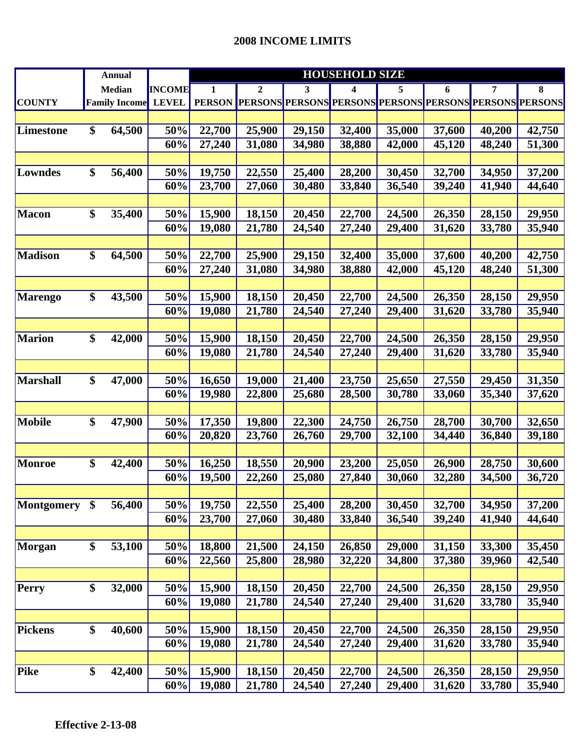|               | <b>Annual</b> |                      |               | <b>HOUSEHOLD SIZE</b> |                                                                |        |        |        |        |        |        |  |
|---------------|---------------|----------------------|---------------|-----------------------|----------------------------------------------------------------|--------|--------|--------|--------|--------|--------|--|
|               |               | <b>Median</b>        | <b>INCOME</b> | 1                     | $\boldsymbol{2}$                                               | 3      | 4      | 5      | 6      | 7      | 8      |  |
| <b>COUNTY</b> |               | <b>Family Income</b> | <b>LEVEL</b>  |                       | PERSON PERSONS PERSONS PERSONS PERSONS PERSONS PERSONS PERSONS |        |        |        |        |        |        |  |
|               |               |                      |               |                       |                                                                |        |        |        |        |        |        |  |
| Limestone     | \$            | 64,500               | 50%           | 22,700                | 25,900                                                         | 29,150 | 32,400 | 35,000 | 37,600 | 40,200 | 42,750 |  |
|               |               |                      | 60%           | 27,240                | 31,080                                                         | 34,980 | 38,880 | 42,000 | 45,120 | 48,240 | 51,300 |  |
|               |               |                      |               |                       |                                                                |        |        |        |        |        |        |  |
| Lowndes       | \$            | 56,400               | 50%           | 19,750                | 22,550                                                         | 25,400 | 28,200 | 30,450 | 32,700 | 34,950 | 37,200 |  |
|               |               |                      | 60%           | 23,700                | 27,060                                                         | 30,480 | 33,840 | 36,540 | 39,240 | 41,940 | 44,640 |  |
|               |               |                      |               |                       |                                                                |        |        |        |        |        |        |  |
| Macon         | \$            | 35,400               | 50%           | 15,900                | 18,150                                                         | 20,450 | 22,700 | 24,500 | 26,350 | 28,150 | 29,950 |  |
|               |               |                      | 60%           | 19,080                | 21,780                                                         | 24,540 | 27,240 | 29,400 | 31,620 | 33,780 | 35,940 |  |
|               |               |                      |               |                       |                                                                |        |        |        |        |        |        |  |
| Madison       | \$            | 64,500               | 50%           | 22,700                | 25,900                                                         | 29,150 | 32,400 | 35,000 | 37,600 | 40,200 | 42,750 |  |
|               |               |                      | 60%           | 27,240                | 31,080                                                         | 34,980 | 38,880 | 42,000 | 45,120 | 48,240 | 51,300 |  |
|               |               |                      |               |                       |                                                                |        |        |        |        |        |        |  |
| Marengo       | \$            | 43,500               | 50%           | 15,900                | 18,150                                                         | 20,450 | 22,700 | 24,500 | 26,350 | 28,150 | 29,950 |  |
|               |               |                      | 60%           | 19,080                | 21,780                                                         | 24,540 | 27,240 | 29,400 | 31,620 | 33,780 | 35,940 |  |
|               |               |                      |               |                       |                                                                |        |        |        |        |        |        |  |
| Marion        | \$            | 42,000               | 50%           | 15,900                | 18,150                                                         | 20,450 | 22,700 | 24,500 | 26,350 | 28,150 | 29,950 |  |
|               |               |                      | 60%           | 19,080                | 21,780                                                         | 24,540 | 27,240 | 29,400 | 31,620 | 33,780 | 35,940 |  |
|               |               |                      |               |                       |                                                                |        |        |        |        |        |        |  |
| Marshall      | \$            | 47,000               | 50%           | 16,650                | 19,000                                                         | 21,400 | 23,750 | 25,650 | 27,550 | 29,450 | 31,350 |  |
|               |               |                      | 60%           | 19,980                | 22,800                                                         | 25,680 | 28,500 | 30,780 | 33,060 | 35,340 | 37,620 |  |
|               |               |                      |               |                       |                                                                |        |        |        |        |        |        |  |
| <b>Mobile</b> | \$            | 47,900               | 50%           | 17,350                | 19,800                                                         | 22,300 | 24,750 | 26,750 | 28,700 | 30,700 | 32,650 |  |
|               |               |                      | 60%           | 20,820                | 23,760                                                         | 26,760 | 29,700 | 32,100 | 34,440 | 36,840 | 39,180 |  |
|               |               |                      |               |                       |                                                                |        |        |        |        |        |        |  |
| Monroe        | \$            | 42,400               | 50%           | 16,250                | 18,550                                                         | 20,900 | 23,200 | 25,050 | 26,900 | 28,750 | 30,600 |  |
|               |               |                      | 60%           | 19,500                | 22,260                                                         | 25,080 | 27,840 | 30,060 | 32,280 | 34,500 | 36,720 |  |
|               |               |                      |               |                       |                                                                |        |        |        |        |        |        |  |
| Montgomery \$ |               | 56,400               | 50%           | 19,750                | 22,550                                                         | 25,400 | 28,200 | 30,450 | 32,700 | 34,950 | 37,200 |  |
|               |               |                      | 60%           | 23,700                | 27,060                                                         | 30,480 | 33,840 | 36,540 | 39,240 | 41,940 | 44,640 |  |
|               |               |                      |               |                       |                                                                |        |        |        |        |        |        |  |
| Morgan        | \$            | 53,100               | 50%           | 18,800                | 21,500                                                         | 24,150 | 26,850 | 29,000 | 31,150 | 33,300 | 35,450 |  |
|               |               |                      | 60%           | 22,560                | 25,800                                                         | 28,980 | 32,220 | 34,800 | 37,380 | 39,960 | 42,540 |  |
|               |               |                      |               |                       |                                                                |        |        |        |        |        |        |  |
| Perry         | \$            | 32,000               | 50%           | 15,900                | 18,150                                                         | 20,450 | 22,700 | 24,500 | 26,350 | 28,150 | 29,950 |  |
|               |               |                      | 60%           | 19,080                | 21,780                                                         | 24,540 | 27,240 | 29,400 | 31,620 | 33,780 | 35,940 |  |
|               |               |                      |               |                       |                                                                |        |        |        |        |        |        |  |
| Pickens       | \$            | 40,600               | 50%           | 15,900                | 18,150                                                         | 20,450 | 22,700 | 24,500 | 26,350 | 28,150 | 29,950 |  |
|               |               |                      | 60%           | 19,080                | 21,780                                                         | 24,540 | 27,240 | 29,400 | 31,620 | 33,780 | 35,940 |  |
|               |               |                      |               |                       |                                                                |        |        |        |        |        |        |  |
| Pike          | \$            | 42,400               | 50%           | 15,900                | 18,150                                                         | 20,450 | 22,700 | 24,500 | 26,350 | 28,150 | 29,950 |  |
|               |               |                      | 60%           | 19,080                | 21,780                                                         | 24,540 | 27,240 | 29,400 | 31,620 | 33,780 | 35,940 |  |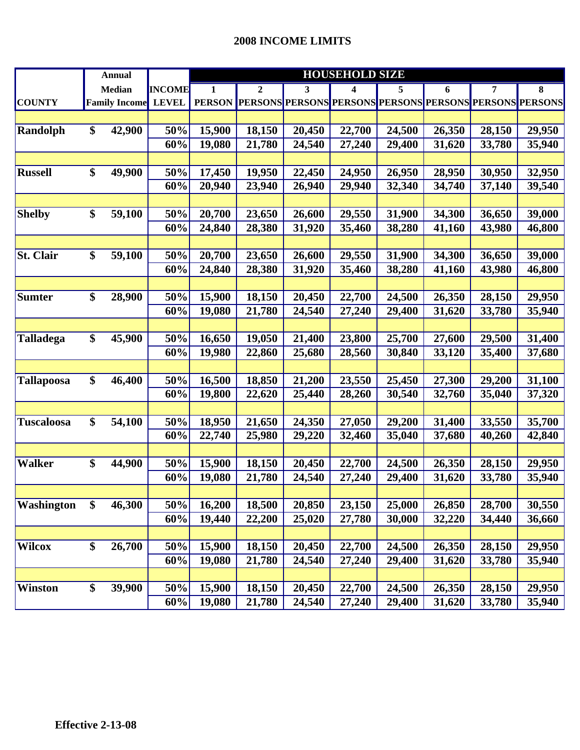|                   | <b>Annual</b>             |               | <b>HOUSEHOLD SIZE</b> |                  |        |                                                                        |        |        |        |        |
|-------------------|---------------------------|---------------|-----------------------|------------------|--------|------------------------------------------------------------------------|--------|--------|--------|--------|
|                   | <b>Median</b>             | <b>INCOME</b> | 1                     | $\boldsymbol{2}$ | 3      | 4                                                                      | 5      | 6      | 7      | 8      |
| <b>COUNTY</b>     | <b>Family Income</b>      | <b>LEVEL</b>  | <b>PERSON</b>         |                  |        | <b> PERSONS  PERSONS  PERSONS  PERSONS  PERSONS  PERSONS  PERSONS </b> |        |        |        |        |
|                   |                           |               |                       |                  |        |                                                                        |        |        |        |        |
| Randolph          | \$<br>42,900              | 50%           | 15,900                | 18,150           | 20,450 | 22,700                                                                 | 24,500 | 26,350 | 28,150 | 29,950 |
|                   |                           | 60%           | 19,080                | 21,780           | 24,540 | 27,240                                                                 | 29,400 | 31,620 | 33,780 | 35,940 |
|                   |                           |               |                       |                  |        |                                                                        |        |        |        |        |
| <b>Russell</b>    | \$<br>49,900              | 50%           | 17,450                | 19,950           | 22,450 | 24,950                                                                 | 26,950 | 28,950 | 30,950 | 32,950 |
|                   |                           | 60%           | 20,940                | 23,940           | 26,940 | 29,940                                                                 | 32,340 | 34,740 | 37,140 | 39,540 |
|                   |                           |               |                       |                  |        |                                                                        |        |        |        |        |
| <b>Shelby</b>     | \$<br>59,100              | 50%           | 20,700                | 23,650           | 26,600 | 29,550                                                                 | 31,900 | 34,300 | 36,650 | 39,000 |
|                   |                           | 60%           | 24,840                | 28,380           | 31,920 | 35,460                                                                 | 38,280 | 41,160 | 43,980 | 46,800 |
|                   |                           |               |                       |                  |        |                                                                        |        |        |        |        |
| <b>St. Clair</b>  | \$<br>59,100              | 50%           | 20,700                | 23,650           | 26,600 | 29,550                                                                 | 31,900 | 34,300 | 36,650 | 39,000 |
|                   |                           | 60%           | 24,840                | 28,380           | 31,920 | 35,460                                                                 | 38,280 | 41,160 | 43,980 | 46,800 |
|                   |                           |               |                       |                  |        |                                                                        |        |        |        |        |
| <b>Sumter</b>     | \$<br>28,900              | 50%           | 15,900                | 18,150           | 20,450 | 22,700                                                                 | 24,500 | 26,350 | 28,150 | 29,950 |
|                   |                           | 60%           | 19,080                | 21,780           | 24,540 | 27,240                                                                 | 29,400 | 31,620 | 33,780 | 35,940 |
|                   |                           |               |                       |                  |        |                                                                        |        |        |        |        |
| <b>Talladega</b>  | \$<br>45,900              | 50%           | 16,650                | 19,050           | 21,400 | 23,800                                                                 | 25,700 | 27,600 | 29,500 | 31,400 |
|                   |                           | 60%           | 19,980                | 22,860           | 25,680 | 28,560                                                                 | 30,840 | 33,120 | 35,400 | 37,680 |
|                   |                           |               |                       |                  |        |                                                                        |        |        |        |        |
| <b>Tallapoosa</b> | \$<br>46,400              | 50%           | 16,500                | 18,850           | 21,200 | 23,550                                                                 | 25,450 | 27,300 | 29,200 | 31,100 |
|                   |                           | 60%           | 19,800                | 22,620           | 25,440 | 28,260                                                                 | 30,540 | 32,760 | 35,040 | 37,320 |
|                   |                           |               |                       |                  |        |                                                                        |        |        |        |        |
| <b>Tuscaloosa</b> | \$<br>54,100              | 50%           | 18,950                | 21,650           | 24,350 | 27,050                                                                 | 29,200 | 31,400 | 33,550 | 35,700 |
|                   |                           | 60%           | 22,740                | 25,980           | 29,220 | 32,460                                                                 | 35,040 | 37,680 | 40,260 | 42,840 |
|                   |                           |               |                       |                  |        |                                                                        |        |        |        |        |
| <b>Walker</b>     | \$<br>44,900              | 50%           | 15,900                | 18,150           | 20,450 | 22,700                                                                 | 24,500 | 26,350 | 28,150 | 29,950 |
|                   |                           | 60%           | 19,080                | 21,780           | 24,540 | 27,240                                                                 | 29,400 | 31,620 | 33,780 | 35,940 |
|                   |                           |               |                       |                  |        |                                                                        |        |        |        |        |
| <b>Washington</b> | \$<br>46,300              | 50%           | 16,200                | 18,500           | 20,850 | 23,150                                                                 | 25,000 | 26,850 | 28,700 | 30,550 |
|                   |                           | 60%           | 19,440                | 22,200           | 25,020 | 27,780                                                                 | 30,000 | 32,220 | 34,440 | 36,660 |
|                   |                           |               |                       |                  |        |                                                                        |        |        |        |        |
| <b>Wilcox</b>     | \$<br>26,700              | 50%           | 15,900                | 18,150           | 20,450 | 22,700                                                                 | 24,500 | 26,350 | 28,150 | 29,950 |
|                   |                           | 60%           | 19,080                | 21,780           | 24,540 | 27,240                                                                 | 29,400 | 31,620 | 33,780 | 35,940 |
|                   |                           |               |                       |                  |        |                                                                        |        |        |        |        |
| <b>Winston</b>    | $\overline{\$}$<br>39,900 | 50%           | 15,900                | 18,150           | 20,450 | 22,700                                                                 | 24,500 | 26,350 | 28,150 | 29,950 |
|                   |                           | 60%           | 19,080                | 21,780           | 24,540 | 27,240                                                                 | 29,400 | 31,620 | 33,780 | 35,940 |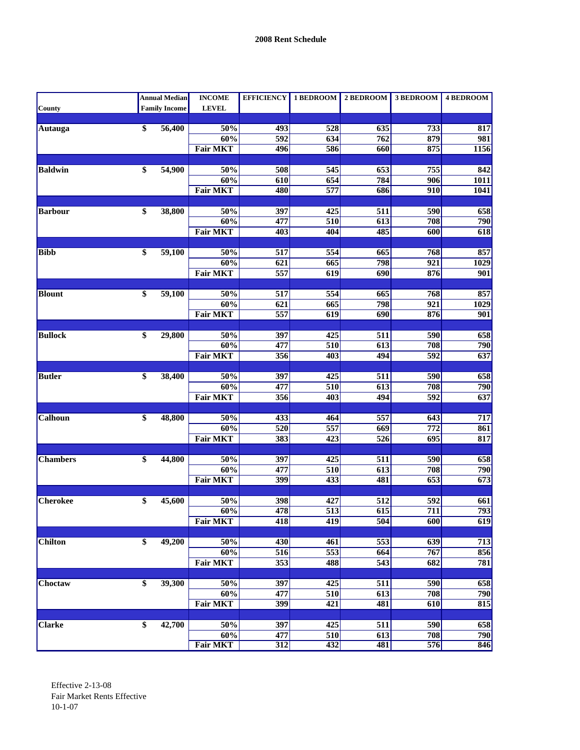|                 |                 | <b>Annual Median</b> | <b>INCOME</b>          | <b>EFFICIENCY</b> | 1 BEDROOM        | 2 BEDROOM        | 3 BEDROOM        | <b>4 BEDROOM</b>        |
|-----------------|-----------------|----------------------|------------------------|-------------------|------------------|------------------|------------------|-------------------------|
| County          |                 | <b>Family Income</b> | <b>LEVEL</b>           |                   |                  |                  |                  |                         |
|                 |                 |                      |                        |                   |                  |                  |                  |                         |
| Autauga         | \$              | 56,400               | 50%                    | 493               | 528              | 635              | 733              | 817                     |
|                 |                 |                      | 60%                    | 592               | 634              | 762              | 879              | 981                     |
|                 |                 |                      | <b>Fair MKT</b>        | 496               | 586              | 660              | 875              | 1156                    |
| <b>Baldwin</b>  | \$              | 54,900               | 50%                    | 508               | 545              | 653              | 755              | 842                     |
|                 |                 |                      | 60%                    | 610               | 654              | 784              | 906              | 1011                    |
|                 |                 |                      | <b>Fair MKT</b>        | 480               | 577              | 686              | 910              | 1041                    |
|                 |                 |                      |                        |                   |                  |                  |                  |                         |
| <b>Barbour</b>  | \$              | 38,800               | 50%                    | 397               | 425              | 511              | 590              | 658                     |
|                 |                 |                      | 60%                    | 477               | 510              | $\overline{613}$ | 708              | 790                     |
|                 |                 |                      | <b>Fair MKT</b>        | 403               | 404              | 485              | 600              | 618                     |
|                 |                 |                      |                        |                   |                  |                  |                  |                         |
| <b>Bibb</b>     | \$              | 59,100               | 50%                    | 517               | 554              | 665              | 768              | 857                     |
|                 |                 |                      | 60%                    | 621               | 665              | 798              | 921              | 1029                    |
|                 |                 |                      | <b>Fair MKT</b>        | 557               | 619              | 690              | 876              | 901                     |
|                 |                 |                      |                        |                   |                  |                  |                  |                         |
| <b>Blount</b>   | \$              | 59,100               | 50%                    | $\overline{517}$  | 554              | 665              | 768              | 857                     |
|                 |                 |                      | 60%<br><b>Fair MKT</b> | 621<br>557        | 665              | 798              | 921              | 1029                    |
|                 |                 |                      |                        |                   | 619              | 690              | 876              | 901                     |
| <b>Bullock</b>  | \$              | 29,800               | 50%                    | 397               | 425              | 511              | 590              | 658                     |
|                 |                 |                      | 60%                    | 477               | 510              | 613              | 708              | 790                     |
|                 |                 |                      | <b>Fair MKT</b>        | 356               | 403              | 494              | $\overline{592}$ | $\overline{637}$        |
|                 |                 |                      |                        |                   |                  |                  |                  |                         |
| <b>Butler</b>   | \$              | 38,400               | 50%                    | 397               | 425              | 511              | 590              | 658                     |
|                 |                 |                      | 60%                    | 477               | 510              | 613              | 708              | 790                     |
|                 |                 |                      | <b>Fair MKT</b>        | 356               | 403              | 494              | $\overline{592}$ | 637                     |
|                 |                 |                      |                        |                   |                  |                  |                  |                         |
| Calhoun         | \$              | 48,800               | 50%                    | 433               | 464              | 557              | 643              | 717                     |
|                 |                 |                      | 60%                    | 520               | 557              | 669              | 772              | 861                     |
|                 |                 |                      | <b>Fair MKT</b>        | 383               | 423              | 526              | $\overline{695}$ | 817                     |
|                 |                 |                      |                        |                   |                  |                  |                  |                         |
| <b>Chambers</b> | \$              | 44,800               | 50%                    | 397               | 425              | 511              | 590              | 658                     |
|                 |                 |                      | 60%<br><b>Fair MKT</b> | 477<br>399        | 510<br>433       | 613<br>481       | 708<br>653       | 790<br>$\overline{673}$ |
|                 |                 |                      |                        |                   |                  |                  |                  |                         |
| <b>Cherokee</b> | \$              | 45,600               | $\overline{50}$ %      | 398               | 427              | 512              | 592              | 661                     |
|                 |                 |                      | 60%                    | 478               | $\overline{513}$ | 615              | $\overline{711}$ | 793                     |
|                 |                 |                      | <b>Fair MKT</b>        | 418               | 419              | 504              | $\overline{600}$ | 619                     |
|                 |                 |                      |                        |                   |                  |                  |                  |                         |
| <b>Chilton</b>  | $\overline{\$}$ | 49,200               | 50%                    | 430               | 461              | $\overline{553}$ | 639              | 713                     |
|                 |                 |                      | 60%                    | $\overline{516}$  | 553              | 664              | 767              | 856                     |
|                 |                 |                      | <b>Fair MKT</b>        | 353               | 488              | $\overline{543}$ | $\overline{682}$ | 781                     |
|                 |                 |                      |                        |                   |                  |                  |                  |                         |
| Choctaw         | \$              | 39,300               | 50%                    | 397               | 425              | $\overline{511}$ | 590              | 658                     |
|                 |                 |                      | 60%                    | 477               | 510              | 613              | 708              | 790                     |
|                 |                 |                      | <b>Fair MKT</b>        | 399               | 421              | 481              | 610              | 815                     |
|                 |                 |                      |                        |                   |                  |                  |                  |                         |
| <b>Clarke</b>   | $\overline{\$}$ | 42,700               | 50%                    | 397               | 425              | $\overline{511}$ | 590              | 658                     |
|                 |                 |                      | 60%                    | 477<br>312        | 510<br>432       | 613<br>481       | 708<br>576       | 790<br>846              |
|                 |                 |                      | <b>Fair MKT</b>        |                   |                  |                  |                  |                         |

Effective 2-13-08 Fair Market Rents Effective 10-1-07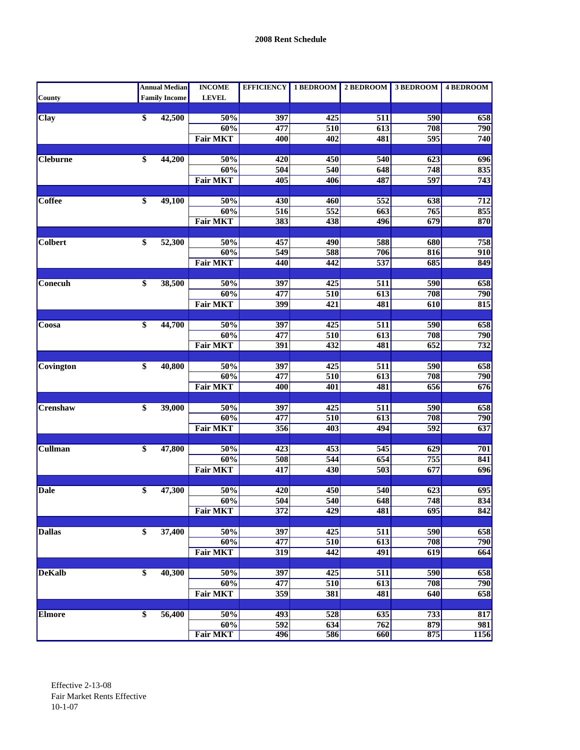|                 |                 | <b>Annual Median</b> | <b>INCOME</b>   | <b>EFFICIENCY</b> | 1 BEDROOM        | 2 BEDROOM        | 3 BEDROOM        | <b>4 BEDROOM</b> |
|-----------------|-----------------|----------------------|-----------------|-------------------|------------------|------------------|------------------|------------------|
| County          |                 | <b>Family Income</b> | <b>LEVEL</b>    |                   |                  |                  |                  |                  |
|                 |                 |                      |                 |                   |                  |                  |                  |                  |
| <b>Clay</b>     | \$              | 42,500               | 50%             | 397               | 425              | 511              | 590              | 658              |
|                 |                 |                      | 60%             | 477               | 510              | 613              | 708              | 790              |
|                 |                 |                      | <b>Fair MKT</b> | 400               | 402              | 481              | 595              | 740              |
|                 |                 |                      |                 |                   |                  |                  |                  |                  |
| <b>Cleburne</b> | \$              | 44,200               | 50%             | 420               | 450              | 540              | $\overline{623}$ | 696              |
|                 |                 |                      | 60%             | 504               | 540              | 648              | 748              | 835              |
|                 |                 |                      | <b>Fair MKT</b> | 405               | 406              | 487              | 597              | 743              |
|                 |                 |                      |                 |                   |                  |                  |                  |                  |
| <b>Coffee</b>   | \$              | 49,100               | 50%             | 430               | 460              | 552              | 638              | 712              |
|                 |                 |                      | 60%             | $\overline{516}$  | 552              | $\overline{663}$ | 765              | 855              |
|                 |                 |                      | <b>Fair MKT</b> | 383               | 438              | 496              | 679              | 870              |
|                 |                 |                      |                 |                   |                  |                  |                  |                  |
| <b>Colbert</b>  | \$              | 52,300               | 50%             | 457               | 490              | 588              | 680              | 758              |
|                 |                 |                      | 60%             | $\overline{549}$  | 588              | 706              | 816              | 910              |
|                 |                 |                      | <b>Fair MKT</b> | 440               | 442              | 537              | 685              | 849              |
|                 |                 |                      |                 |                   |                  |                  |                  |                  |
| Conecuh         | \$              | 38,500               | 50%             | 397               | 425              | $\overline{511}$ | 590              | 658              |
|                 |                 |                      | 60%             | 477               | 510              | 613              | 708              | 790              |
|                 |                 |                      | <b>Fair MKT</b> | 399               | 421              | 481              | 610              | 815              |
|                 |                 |                      |                 |                   |                  |                  |                  |                  |
| Coosa           | \$              | 44,700               | 50%             | 397               | $\overline{425}$ | $\overline{511}$ | 590              | 658              |
|                 |                 |                      | 60%             | 477               | 510              | 613              | 708              | 790              |
|                 |                 |                      | <b>Fair MKT</b> | 391               | 432              | 481              | $\overline{652}$ | 732              |
|                 |                 |                      |                 |                   |                  |                  |                  |                  |
| Covington       | \$              | 40,800               | 50%             | 397               | 425              | 511              | 590              | 658              |
|                 |                 |                      | 60%             | 477               | 510              | 613              | 708              | 790              |
|                 |                 |                      | <b>Fair MKT</b> | 400               | 401              | 481              | 656              | 676              |
|                 |                 |                      |                 |                   |                  |                  |                  |                  |
| Crenshaw        | \$              | 39,000               | 50%<br>60%      | 397<br>477        | 425              | 511              | 590              | 658              |
|                 |                 |                      |                 |                   | 510              | 613<br>494       | 708<br>592       | 790<br>637       |
|                 |                 |                      | <b>Fair MKT</b> | 356               | 403              |                  |                  |                  |
| <b>Cullman</b>  | $\overline{\$}$ | 47,800               | 50%             | $\overline{423}$  | 453              | 545              | 629              | 701              |
|                 |                 |                      |                 |                   |                  |                  |                  |                  |
|                 |                 |                      | 60%             | 508               | 544              | 654              | 755              | 841              |
|                 |                 |                      | <b>Fair MKT</b> | 417               | 430              | $\overline{503}$ | 677              | $\overline{696}$ |
| <b>Dale</b>     | \$              | 47,300               | 50%             | 420               | 450              | 540              | 623              | 695              |
|                 |                 |                      | 60%             | 504               | 540              | 648              | 748              | 834              |
|                 |                 |                      | <b>Fair MKT</b> | 372               | 429              | 481              | 695              | 842              |
|                 |                 |                      |                 |                   |                  |                  |                  |                  |
| <b>Dallas</b>   | \$              | 37,400               | 50%             | 397               | 425              | 511              | 590              | 658              |
|                 |                 |                      | 60%             | 477               | 510              | 613              | 708              | 790              |
|                 |                 |                      | <b>Fair MKT</b> | $\overline{319}$  | 442              | 491              | $\overline{619}$ | 664              |
|                 |                 |                      |                 |                   |                  |                  |                  |                  |
| <b>DeKalb</b>   | $\overline{\$}$ | 40,300               | 50%             | 397               | 425              | 511              | 590              | 658              |
|                 |                 |                      | 60%             | 477               | 510              | 613              | 708              | 790              |
|                 |                 |                      | <b>Fair MKT</b> | $\overline{359}$  | 381              | 481              | 640              | 658              |
|                 |                 |                      |                 |                   |                  |                  |                  |                  |
| Elmore          | $\overline{\$}$ | 56,400               | 50%             | 493               | 528              | 635              | $\overline{733}$ | 817              |
|                 |                 |                      | 60%             | 592               | 634              | 762              | 879              | 981              |
|                 |                 |                      | <b>Fair MKT</b> | 496               | 586              | 660              | 875              | 1156             |
|                 |                 |                      |                 |                   |                  |                  |                  |                  |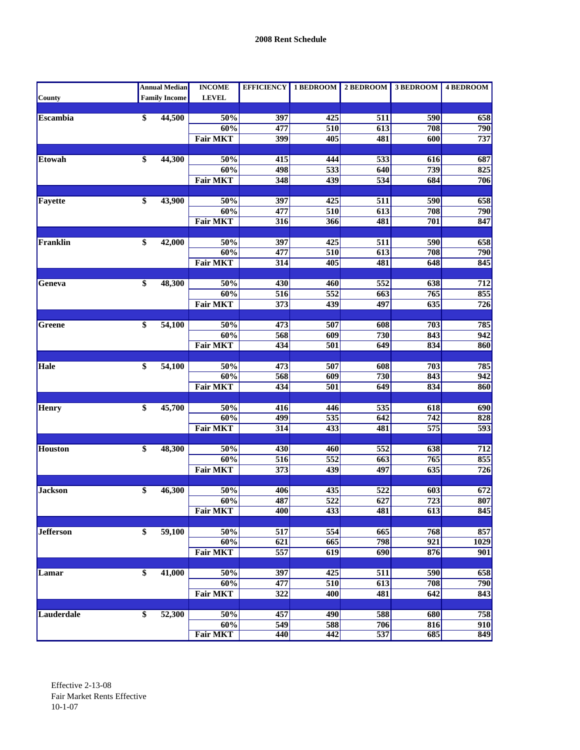|                  | <b>Annual Median</b> | <b>INCOME</b>          |                  |                         | EFFICIENCY   1 BEDROOM   2 BEDROOM   3 BEDROOM |                  | <b>4 BEDROOM</b> |
|------------------|----------------------|------------------------|------------------|-------------------------|------------------------------------------------|------------------|------------------|
| County           | <b>Family Income</b> | <b>LEVEL</b>           |                  |                         |                                                |                  |                  |
|                  |                      |                        |                  |                         |                                                |                  |                  |
| <b>Escambia</b>  | \$<br>44,500         | 50%                    | 397              | 425                     | 511                                            | 590              | 658              |
|                  |                      | 60%                    | 477              | 510                     | 613                                            | 708              | 790              |
|                  |                      | <b>Fair MKT</b>        | 399              | 405                     | 481                                            | $\overline{600}$ | 737              |
| Etowah           | \$<br>44,300         | 50%                    | 415              | 444                     | 533                                            | 616              | 687              |
|                  |                      | 60%                    | 498              | $\overline{533}$        | 640                                            | 739              | 825              |
|                  |                      | <b>Fair MKT</b>        | 348              | 439                     | 534                                            | 684              | 706              |
|                  |                      |                        |                  |                         |                                                |                  |                  |
| Fayette          | \$<br>43,900         | 50%                    | 397              | 425                     | 511                                            | 590              | 658              |
|                  |                      | 60%                    | 477              | 510                     | 613                                            | 708              | 790              |
|                  |                      | <b>Fair MKT</b>        | 316              | 366                     | 481                                            | 701              | 847              |
|                  |                      |                        |                  |                         |                                                |                  |                  |
| Franklin         | \$<br>42,000         | 50%                    | 397              | 425                     | 511                                            | 590              | 658              |
|                  |                      | 60%                    | 477              | 510                     | 613                                            | 708              | 790              |
|                  |                      | <b>Fair MKT</b>        | $\overline{314}$ | 405                     | 481                                            | 648              | 845              |
|                  |                      |                        |                  |                         |                                                |                  |                  |
| Geneva           | \$<br>48,300         | 50%                    | 430              | 460                     | $\overline{552}$                               | 638              | 712<br>855       |
|                  |                      | 60%<br><b>Fair MKT</b> | 516<br>373       | $\overline{552}$<br>439 | 663<br>497                                     | 765<br>635       | 726              |
|                  |                      |                        |                  |                         |                                                |                  |                  |
| Greene           | \$<br>54,100         | 50%                    | 473              | 507                     | 608                                            | 703              | 785              |
|                  |                      | 60%                    | 568              | $\overline{609}$        | 730                                            | 843              | 942              |
|                  |                      | <b>Fair MKT</b>        | 434              | 501                     | 649                                            | 834              | 860              |
|                  |                      |                        |                  |                         |                                                |                  |                  |
| Hale             | \$<br>54,100         | 50%                    | 473              | 507                     | 608                                            | 703              | 785              |
|                  |                      | 60%                    | 568              | 609                     | 730                                            | 843              | $\overline{942}$ |
|                  |                      | <b>Fair MKT</b>        | 434              | 501                     | 649                                            | 834              | 860              |
|                  |                      |                        |                  |                         |                                                |                  |                  |
| Henry            | \$<br>45,700         | 50%                    | 416              | 446                     | 535                                            | 618              | 690              |
|                  |                      | 60%                    | 499              | 535                     | 642                                            | 742              | 828              |
|                  |                      | <b>Fair MKT</b>        | $\overline{314}$ | $\overline{433}$        | 481                                            | $\overline{575}$ | 593              |
| <b>Houston</b>   | \$<br>48,300         | 50%                    | 430              | 460                     | 552                                            | 638              | 712              |
|                  |                      | 60%                    | $\overline{516}$ | $\overline{552}$        | 663                                            | 765              | 855              |
|                  |                      | <b>Fair MKT</b>        | 373              | 439                     | 497                                            | 635              | 726              |
|                  |                      |                        |                  |                         |                                                |                  |                  |
| <b>Jackson</b>   | \$<br>46,300         | 50%                    | 406              | 435                     | 522                                            | 603              | 672              |
|                  |                      | 60%                    | 487              | 522                     | 627                                            | $\overline{723}$ | 807              |
|                  |                      | <b>Fair MKT</b>        | 400              | 433                     | 481                                            | 613              | 845              |
|                  |                      |                        |                  |                         |                                                |                  |                  |
| <b>Jefferson</b> | \$<br>59,100         | 50%                    | 517              | 554                     | 665                                            | 768              | 857              |
|                  |                      | 60%                    | 621              | 665                     | 798                                            | 921              | 1029             |
|                  |                      | <b>Fair MKT</b>        | 557              | 619                     | $\overline{690}$                               | 876              | 901              |
|                  |                      |                        |                  |                         |                                                |                  |                  |
| Lamar            | \$<br>41,000         | 50%                    | 397              | 425                     | 511                                            | 590              | 658              |
|                  |                      | 60%                    | 477              | 510                     | 613                                            | 708              | 790              |
|                  |                      | <b>Fair MKT</b>        | $\overline{322}$ | 400                     | 481                                            | 642              | $\overline{843}$ |
|                  |                      |                        |                  |                         |                                                |                  |                  |
| Lauderdale       | \$<br>52,300         | 50%                    | 457              | 490                     | 588                                            | 680              | 758              |
|                  |                      | 60%<br><b>Fair MKT</b> | 549              | 588                     | 706<br>537                                     | 816<br>685       | 910<br>849       |
|                  |                      |                        | 440              | 442                     |                                                |                  |                  |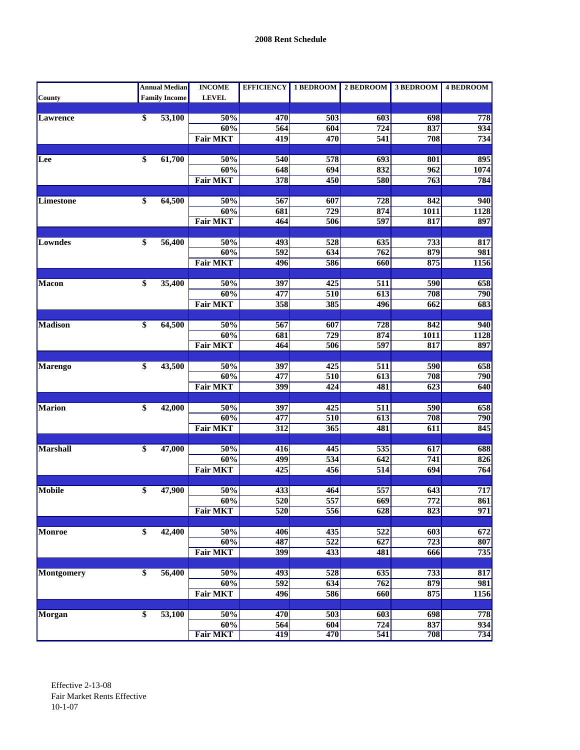|                |                 | <b>Annual Median</b> | <b>INCOME</b>   |                  | EFFICIENCY 1 BEDROOM | $2$ BEDROOM      | 3 BEDROOM        | <b>4 BEDROOM</b> |
|----------------|-----------------|----------------------|-----------------|------------------|----------------------|------------------|------------------|------------------|
| County         |                 | <b>Family Income</b> | <b>LEVEL</b>    |                  |                      |                  |                  |                  |
|                |                 |                      |                 |                  |                      |                  |                  |                  |
| Lawrence       | \$              | 53,100               | 50%             | 470              | 503                  | 603              | 698              | 778              |
|                |                 |                      | 60%             | 564              | 604                  | 724              | 837              | 934              |
|                |                 |                      | <b>Fair MKT</b> | $\overline{419}$ | 470                  | 541              | 708              | 734              |
|                |                 |                      |                 |                  |                      |                  |                  |                  |
| Lee            | \$              | 61,700               | 50%             | 540              | $\overline{578}$     | $\overline{693}$ | 801              | 895              |
|                |                 |                      | 60%             | 648              | 694                  | 832              | 962              | 1074             |
|                |                 |                      | <b>Fair MKT</b> | 378              | 450                  | 580              | 763              | 784              |
|                |                 |                      |                 |                  |                      |                  |                  |                  |
| Limestone      | $\overline{\$}$ | 64,500               | 50%             | 567              | 607                  | 728              | 842              | 940              |
|                |                 |                      | 60%             | 681              | 729                  | 874              | <b>1011</b>      | <b>1128</b>      |
|                |                 |                      | <b>Fair MKT</b> | 464              | 506                  | 597              | 817              | 897              |
|                |                 |                      |                 |                  |                      |                  |                  |                  |
| Lowndes        | \$              | 56,400               | 50%             | 493              | 528                  | 635              | 733              | 817              |
|                |                 |                      | 60%             | $\overline{592}$ | 634                  | 762              | 879              | 981              |
|                |                 |                      | <b>Fair MKT</b> | 496              | 586                  | 660              | 875              | 1156             |
|                |                 |                      |                 |                  |                      |                  |                  |                  |
| <b>Macon</b>   | \$              | 35,400               | 50%             | 397              | 425                  | 511              | 590              | 658              |
|                |                 |                      | $60\%$          | 477              | 510                  | 613              | 708              | 790              |
|                |                 |                      | <b>Fair MKT</b> | 358              | 385                  | 496              | 662              | 683              |
|                |                 |                      |                 |                  |                      |                  |                  |                  |
| <b>Madison</b> | \$              | 64,500               | 50%             | 567              | 607                  | 728              | 842              | 940              |
|                |                 |                      | 60%             | 681              | $\overline{729}$     | 874              | 1011             | <b>1128</b>      |
|                |                 |                      | <b>Fair MKT</b> | 464              | 506                  | 597              | 817              | 897              |
|                |                 |                      |                 |                  |                      |                  |                  |                  |
| <b>Marengo</b> | \$              | 43,500               | 50%             | 397              | 425                  | 511              | 590              | 658              |
|                |                 |                      | 60%             | 477              | 510                  | 613              | 708              | 790              |
|                |                 |                      | <b>Fair MKT</b> | 399              | 424                  | 481              | $\overline{623}$ | 640              |
|                |                 |                      |                 |                  |                      |                  |                  |                  |
| Marion         | \$              | 42,000               | 50%             | 397              | 425                  | 511              | 590              | 658              |
|                |                 |                      | 60%             | 477              | 510                  | 613              | 708              | 790              |
|                |                 |                      | <b>Fair MKT</b> | 312              | $\overline{365}$     | 481              | 611              | 845              |
|                |                 |                      |                 |                  |                      |                  |                  |                  |
| Marshall       | \$              | 47,000               | 50%             | 416              | 445                  | 535              | 617              | 688              |
|                |                 |                      | 60%             | 499              | 534                  | 642              | 741              | 826              |
|                |                 |                      | <b>Fair MKT</b> | $\overline{425}$ | 456                  | $\overline{514}$ | 694              | 764              |
|                |                 |                      |                 |                  |                      |                  |                  |                  |
| Mobile         | \$              | 47,900               | 50%             | 433              | 464                  | 557              | 643              | 717              |
|                |                 |                      | 60%             | 520              | 557                  | $\overline{669}$ | $\overline{772}$ | $\overline{861}$ |
|                |                 |                      | <b>Fair MKT</b> | 520              | 556                  | 628              | 823              | 971              |
|                |                 |                      |                 |                  |                      |                  |                  |                  |
| <b>Monroe</b>  | $\overline{\$}$ | 42,400               | 50%             | 406              | 435                  | 522              | 603              | 672              |
|                |                 |                      | 60%             | 487              | 522                  | 627              | $\overline{723}$ | 807              |
|                |                 |                      | <b>Fair MKT</b> | 399              | $\overline{433}$     | 481              | 666              | 735              |
|                |                 |                      |                 |                  |                      |                  |                  |                  |
| Montgomery     | $\overline{\$}$ | 56,400               | 50%             | 493              | 528                  | 635              | 733              | 817              |
|                |                 |                      | 60%             | $\overline{592}$ | 634                  | 762              | 879              | 981              |
|                |                 |                      | <b>Fair MKT</b> | 496              | 586                  | 660              | 875              | 1156             |
|                |                 |                      |                 |                  |                      |                  |                  |                  |
| Morgan         | \$              | 53,100               | 50%             | 470              | $\overline{503}$     | 603              | 698              | 778              |
|                |                 |                      | 60%             | 564              | 604                  | 724              | 837              | 934              |
|                |                 |                      | <b>Fair MKT</b> | 419              | 470                  | 541              | 708              | 734              |
|                |                 |                      |                 |                  |                      |                  |                  |                  |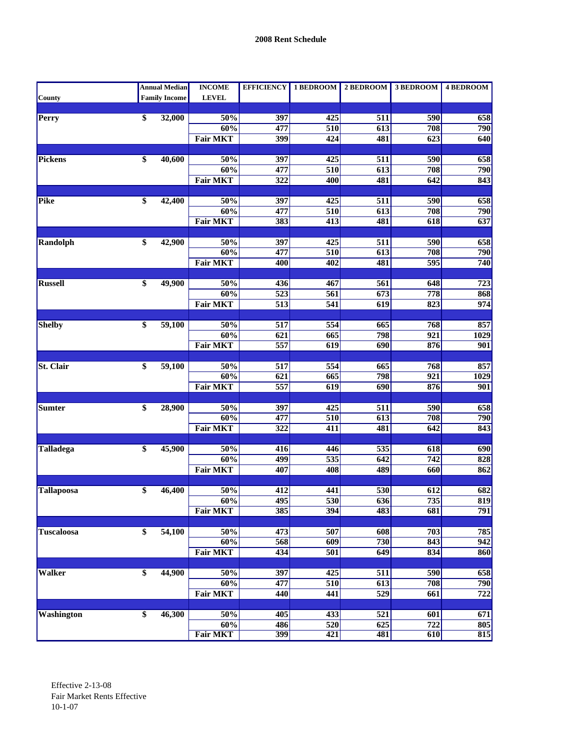|                   | <b>Annual Median</b> | <b>INCOME</b>   | <b>EFFICIENCY</b> | 1 BEDROOM        | 2 BEDROOM        | 3 BEDROOM        | <b>4 BEDROOM</b> |
|-------------------|----------------------|-----------------|-------------------|------------------|------------------|------------------|------------------|
| County            | <b>Family Income</b> | <b>LEVEL</b>    |                   |                  |                  |                  |                  |
|                   |                      |                 |                   |                  |                  |                  |                  |
| Perry             | \$<br>32,000         | 50%             | 397               | 425              | 511              | 590              | 658              |
|                   |                      | 60%             | 477               | 510              | 613              | 708              | 790              |
|                   |                      | <b>Fair MKT</b> | 399               | 424              | 481              | $\overline{623}$ | 640              |
| Pickens           | \$<br>40,600         | 50%             | 397               | 425              | 511              | 590              | 658              |
|                   |                      | 60%             | 477               | 510              | 613              | 708              | 790              |
|                   |                      | <b>Fair MKT</b> | 322               | 400              | 481              | 642              | 843              |
|                   |                      |                 |                   |                  |                  |                  |                  |
| Pike              | \$<br>42,400         | 50%             | 397               | 425              | 511              | 590              | 658              |
|                   |                      | 60%             | 477               | 510              | 613              | 708              | 790              |
|                   |                      | <b>Fair MKT</b> | 383               | $\overline{413}$ | 481              | 618              | 637              |
|                   |                      |                 |                   |                  |                  |                  |                  |
| Randolph          | \$<br>42,900         | 50%             | 397               | 425              | 511              | 590              | 658              |
|                   |                      | 60%             | 477               | 510              | 613              | 708              | 790              |
|                   |                      | <b>Fair MKT</b> | 400               | $\overline{402}$ | 481              | 595              | 740              |
|                   |                      |                 |                   |                  |                  |                  |                  |
| <b>Russell</b>    | \$<br>49,900         | 50%             | 436               | 467              | 561              | 648              | $\overline{723}$ |
|                   |                      | 60%             | $\overline{523}$  | 561              | 673              | 778              | 868              |
|                   |                      | <b>Fair MKT</b> | 513               | 541              | 619              | 823              | 974              |
| <b>Shelby</b>     | \$<br>59,100         | 50%             | $\overline{517}$  | $\overline{554}$ | 665              | 768              | 857              |
|                   |                      | 60%             | $\overline{621}$  | 665              | 798              | $\overline{921}$ | <b>1029</b>      |
|                   |                      | <b>Fair MKT</b> | 557               | 619              | 690              | 876              | 901              |
|                   |                      |                 |                   |                  |                  |                  |                  |
| <b>St. Clair</b>  | \$<br>59,100         | 50%             | 517               | 554              | 665              | 768              | 857              |
|                   |                      | 60%             | 621               | 665              | 798              | $\overline{921}$ | 1029             |
|                   |                      | <b>Fair MKT</b> | 557               | 619              | 690              | 876              | 901              |
|                   |                      |                 |                   |                  |                  |                  |                  |
| Sumter            | \$<br>28,900         | 50%             | 397               | 425              | 511              | 590              | 658              |
|                   |                      | 60%             | 477               | 510              | 613              | 708              | 790              |
|                   |                      | <b>Fair MKT</b> | $\overline{322}$  | 411              | 481              | 642              | 843              |
|                   |                      |                 |                   |                  |                  |                  |                  |
| <b>Talladega</b>  | \$<br>45,900         | 50%             | 416               | 446              | 535              | 618              | 690              |
|                   |                      | 60%             | 499               | $\overline{535}$ | 642              | $\overline{742}$ | 828              |
|                   |                      | <b>Fair MKT</b> | 407               | 408              | 489              | 660              | 862              |
| Tallapoosa        | \$<br>46,400         | 50%             | 412               | 441              | 530              | 612              | 682              |
|                   |                      | 60%             | 495               | 530              | $\overline{636}$ | $\overline{735}$ | 819              |
|                   |                      | <b>Fair MKT</b> | 385               | 394              | 483              | 681              | 791              |
|                   |                      |                 |                   |                  |                  |                  |                  |
| <b>Tuscaloosa</b> | \$<br>54,100         | 50%             | 473               | 507              | 608              | 703              | 785              |
|                   |                      | 60%             | 568               | 609              | 730              | 843              | 942              |
|                   |                      | <b>Fair MKT</b> | 434               | $\overline{501}$ | 649              | 834              | 860              |
|                   |                      |                 |                   |                  |                  |                  |                  |
| <b>Walker</b>     | \$<br>44,900         | 50%             | 397               | 425              | $\overline{511}$ | 590              | 658              |
|                   |                      | 60%             | 477               | 510              | 613              | 708              | 790              |
|                   |                      | <b>Fair MKT</b> | 440               | 441              | 529              | $\overline{661}$ | $\overline{722}$ |
|                   |                      |                 |                   |                  |                  |                  |                  |
| <b>Washington</b> | \$<br>46,300         | 50%             | 405               | $\overline{433}$ | $\overline{521}$ | 601              | 671              |
|                   |                      | 60%             | 486               | 520              | 625              | $\overline{722}$ | 805              |
|                   |                      | <b>Fair MKT</b> | 399               | 421              | 481              | 610              | 815              |